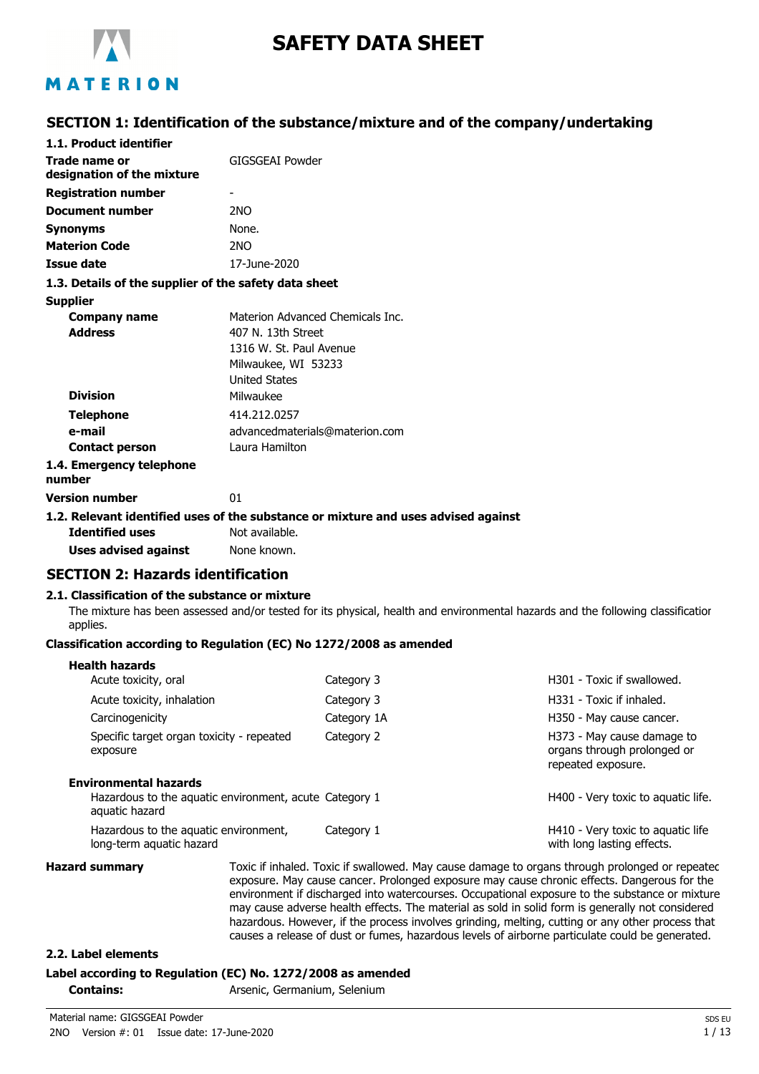

# **SAFETY DATA SHEET**

# MATERION

## **SECTION 1: Identification of the substance/mixture and of the company/undertaking**

| 1.1. Product identifier                               |                                                                                    |
|-------------------------------------------------------|------------------------------------------------------------------------------------|
| Trade name or<br>designation of the mixture           | GIGSGEAI Powder                                                                    |
| <b>Registration number</b>                            |                                                                                    |
| Document number                                       | 2 <sub>NO</sub>                                                                    |
| <b>Synonyms</b>                                       | None.                                                                              |
| <b>Materion Code</b>                                  | 2 <sub>NO</sub>                                                                    |
| Issue date                                            | 17-June-2020                                                                       |
| 1.3. Details of the supplier of the safety data sheet |                                                                                    |
| <b>Supplier</b>                                       |                                                                                    |
| <b>Company name</b>                                   | Materion Advanced Chemicals Tnc.                                                   |
| <b>Address</b>                                        | 407 N. 13th Street                                                                 |
|                                                       | 1316 W. St. Paul Avenue                                                            |
|                                                       | Milwaukee, WI 53233                                                                |
|                                                       | <b>United States</b>                                                               |
| <b>Division</b>                                       | Milwaukee                                                                          |
| <b>Telephone</b>                                      | 414.212.0257                                                                       |
| e-mail                                                | advancedmaterials@materion.com                                                     |
| <b>Contact person</b>                                 | Laura Hamilton                                                                     |
| 1.4. Emergency telephone<br>number                    |                                                                                    |
| <b>Version number</b>                                 | 01                                                                                 |
|                                                       | 1.2. Relevant identified uses of the substance or mixture and uses advised against |
| <b>Identified uses</b>                                | Not available.                                                                     |
| Uses advised against                                  | None known.                                                                        |

# **SECTION 2: Hazards identification**

#### **2.1. Classification of the substance or mixture**

The mixture has been assessed and/or tested for its physical, health and environmental hazards and the following classification applies.

#### **Classification according to Regulation (EC) No 1272/2008 as amended**

| нсанн наданаз                                                                                     |             |                                                                                 |
|---------------------------------------------------------------------------------------------------|-------------|---------------------------------------------------------------------------------|
| Acute toxicity, oral                                                                              | Category 3  | H301 - Toxic if swallowed.                                                      |
| Acute toxicity, inhalation                                                                        | Category 3  | H331 - Toxic if inhaled.                                                        |
| Carcinogenicity                                                                                   | Category 1A | H350 - May cause cancer.                                                        |
| Specific target organ toxicity - repeated<br>exposure                                             | Category 2  | H373 - May cause damage to<br>organs through prolonged or<br>repeated exposure. |
| Environmental hazards<br>Hazardous to the aquatic environment, acute Category 1<br>aquatic hazard |             | H400 - Very toxic to aquatic life.                                              |
| Hazardous to the aquatic environment,<br>long-term aquatic hazard                                 | Category 1  | H410 - Very toxic to aquatic life<br>with long lasting effects.                 |

**Health hazards**

**Hazard summary** Toxic if inhaled. Toxic if swallowed. May cause damage to organs through prolonged or repeated exposure. May cause cancer. Prolonged exposure may cause chronic effects. Dangerous for the environment if discharged into watercourses. Occupational exposure to the substance or mixture may cause adverse health effects. The material as sold in solid form is generally not considered hazardous. However, if the process involves grinding, melting, cutting or any other process that causes a release of dust or fumes, hazardous levels of airborne particulate could be generated.

#### **2.2. Label elements**

#### **Label according to Regulation (EC) No. 1272/2008 as amended**

**Contains:** Arsenic, Germanium, Selenium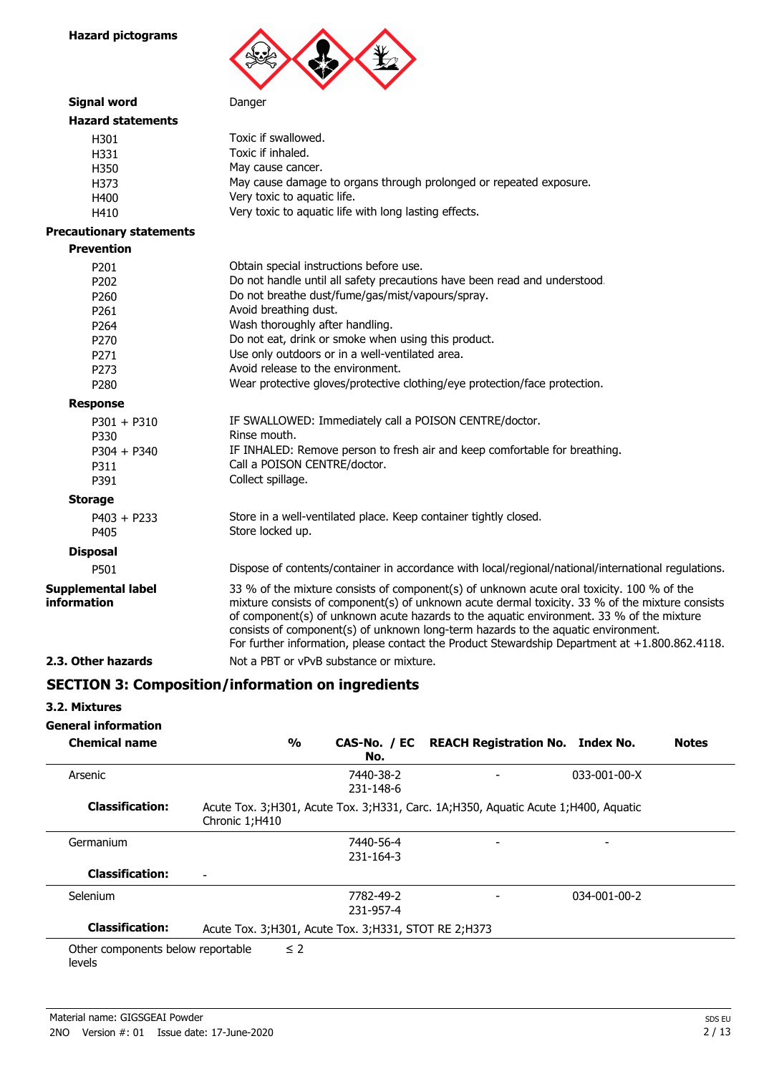**Hazard pictograms**



| <b>Signal word</b>                       | Danger                                                                                                                                                                                                                                                                                                                                                                                                                                                                          |
|------------------------------------------|---------------------------------------------------------------------------------------------------------------------------------------------------------------------------------------------------------------------------------------------------------------------------------------------------------------------------------------------------------------------------------------------------------------------------------------------------------------------------------|
| <b>Hazard statements</b>                 |                                                                                                                                                                                                                                                                                                                                                                                                                                                                                 |
| H301                                     | Toxic if swallowed.                                                                                                                                                                                                                                                                                                                                                                                                                                                             |
| H331                                     | Toxic if inhaled.                                                                                                                                                                                                                                                                                                                                                                                                                                                               |
| H350                                     | May cause cancer.                                                                                                                                                                                                                                                                                                                                                                                                                                                               |
| H373                                     | May cause damage to organs through prolonged or repeated exposure.                                                                                                                                                                                                                                                                                                                                                                                                              |
| H400                                     | Very toxic to aquatic life.                                                                                                                                                                                                                                                                                                                                                                                                                                                     |
| H410                                     | Very toxic to aquatic life with long lasting effects.                                                                                                                                                                                                                                                                                                                                                                                                                           |
| <b>Precautionary statements</b>          |                                                                                                                                                                                                                                                                                                                                                                                                                                                                                 |
| <b>Prevention</b>                        |                                                                                                                                                                                                                                                                                                                                                                                                                                                                                 |
| P201                                     | Obtain special instructions before use.                                                                                                                                                                                                                                                                                                                                                                                                                                         |
| P202                                     | Do not handle until all safety precautions have been read and understood.                                                                                                                                                                                                                                                                                                                                                                                                       |
| P260                                     | Do not breathe dust/fume/gas/mist/vapours/spray.                                                                                                                                                                                                                                                                                                                                                                                                                                |
| P261                                     | Avoid breathing dust.                                                                                                                                                                                                                                                                                                                                                                                                                                                           |
| P264                                     | Wash thoroughly after handling.                                                                                                                                                                                                                                                                                                                                                                                                                                                 |
| P270                                     | Do not eat, drink or smoke when using this product.                                                                                                                                                                                                                                                                                                                                                                                                                             |
| P <sub>271</sub>                         | Use only outdoors or in a well-ventilated area.                                                                                                                                                                                                                                                                                                                                                                                                                                 |
| P273                                     | Avoid release to the environment.                                                                                                                                                                                                                                                                                                                                                                                                                                               |
| P280                                     | Wear protective gloves/protective clothing/eye protection/face protection.                                                                                                                                                                                                                                                                                                                                                                                                      |
| <b>Response</b>                          |                                                                                                                                                                                                                                                                                                                                                                                                                                                                                 |
| $P301 + P310$                            | IF SWALLOWED: Immediately call a POISON CENTRE/doctor.                                                                                                                                                                                                                                                                                                                                                                                                                          |
| P330                                     | Rinse mouth.                                                                                                                                                                                                                                                                                                                                                                                                                                                                    |
| $P304 + P340$                            | IF INHALED: Remove person to fresh air and keep comfortable for breathing.                                                                                                                                                                                                                                                                                                                                                                                                      |
| P311                                     | Call a POISON CENTRE/doctor.                                                                                                                                                                                                                                                                                                                                                                                                                                                    |
| P391                                     | Collect spillage.                                                                                                                                                                                                                                                                                                                                                                                                                                                               |
| <b>Storage</b>                           |                                                                                                                                                                                                                                                                                                                                                                                                                                                                                 |
| $P403 + P233$                            | Store in a well-ventilated place. Keep container tightly closed.                                                                                                                                                                                                                                                                                                                                                                                                                |
| P405                                     | Store locked up.                                                                                                                                                                                                                                                                                                                                                                                                                                                                |
| <b>Disposal</b>                          |                                                                                                                                                                                                                                                                                                                                                                                                                                                                                 |
| P501                                     | Dispose of contents/container in accordance with local/regional/national/international regulations.                                                                                                                                                                                                                                                                                                                                                                             |
| <b>Supplemental label</b><br>information | 33 % of the mixture consists of component(s) of unknown acute oral toxicity. 100 % of the<br>mixture consists of component(s) of unknown acute dermal toxicity. 33 % of the mixture consists<br>of component(s) of unknown acute hazards to the aquatic environment. 33 % of the mixture<br>consists of component(s) of unknown long-term hazards to the aquatic environment.<br>For further information, please contact the Product Stewardship Department at +1.800.862.4118. |
| 2.3. Other hazards                       | Not a PBT or vPvB substance or mixture.                                                                                                                                                                                                                                                                                                                                                                                                                                         |

## **SECTION 3: Composition/information on ingredients**

### **3.2. Mixtures**

## **General information**

| <b>Chemical name</b>                        | $\frac{1}{2}$                                           | No.                    | CAS-No. / EC REACH Registration No. Index No.                                      |                      | <b>Notes</b> |
|---------------------------------------------|---------------------------------------------------------|------------------------|------------------------------------------------------------------------------------|----------------------|--------------|
| Arsenic                                     |                                                         | 7440-38-2<br>231-148-6 |                                                                                    | $033 - 001 - 00 - X$ |              |
| <b>Classification:</b>                      | Chronic 1;H410                                          |                        | Acute Tox. 3;H301, Acute Tox. 3;H331, Carc. 1A;H350, Aquatic Acute 1;H400, Aquatic |                      |              |
| Germanium                                   |                                                         | 7440-56-4<br>231-164-3 | $\overline{\phantom{a}}$                                                           |                      |              |
| <b>Classification:</b>                      | ۰                                                       |                        |                                                                                    |                      |              |
| Selenium                                    |                                                         | 7782-49-2<br>231-957-4 |                                                                                    | 034-001-00-2         |              |
| <b>Classification:</b>                      | Acute Tox. 3; H301, Acute Tox. 3; H331, STOT RE 2; H373 |                        |                                                                                    |                      |              |
| Other components below reportable<br>levels | $\leq$ 2                                                |                        |                                                                                    |                      |              |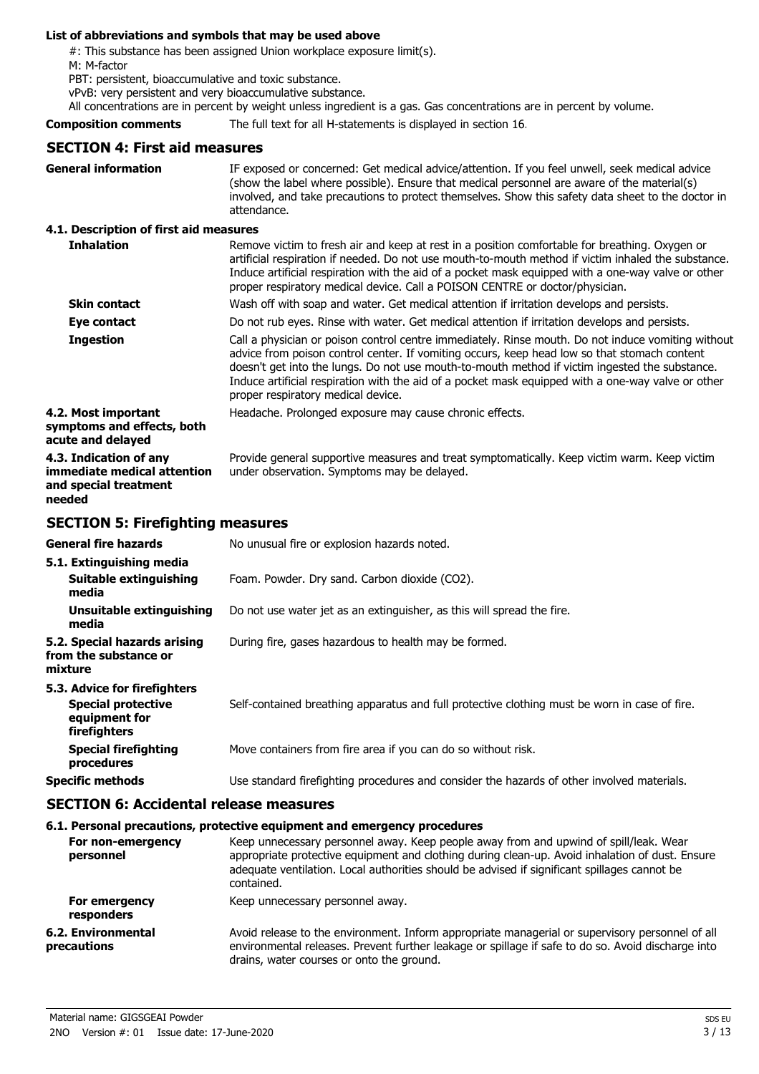#### **List of abbreviations and symbols that may be used above**

#: This substance has been assigned Union workplace exposure limit(s).

M: M-factor

PBT: persistent, bioaccumulative and toxic substance.

vPvB: very persistent and very bioaccumulative substance.

All concentrations are in percent by weight unless ingredient is a gas. Gas concentrations are in percent by volume.

**Composition comments** The full text for all H-statements is displayed in section 16.

## **SECTION 4: First aid measures**

| <b>General information</b>                                                               | IF exposed or concerned: Get medical advice/attention. If you feel unwell, seek medical advice<br>(show the label where possible). Ensure that medical personnel are aware of the material(s)<br>involved, and take precautions to protect themselves. Show this safety data sheet to the doctor in<br>attendance.                                                                                                                               |
|------------------------------------------------------------------------------------------|--------------------------------------------------------------------------------------------------------------------------------------------------------------------------------------------------------------------------------------------------------------------------------------------------------------------------------------------------------------------------------------------------------------------------------------------------|
| 4.1. Description of first aid measures                                                   |                                                                                                                                                                                                                                                                                                                                                                                                                                                  |
| <b>Inhalation</b>                                                                        | Remove victim to fresh air and keep at rest in a position comfortable for breathing. Oxygen or<br>artificial respiration if needed. Do not use mouth-to-mouth method if victim inhaled the substance.<br>Induce artificial respiration with the aid of a pocket mask equipped with a one-way valve or other<br>proper respiratory medical device. Call a POISON CENTRE or doctor/physician.                                                      |
| <b>Skin contact</b>                                                                      | Wash off with soap and water. Get medical attention if irritation develops and persists.                                                                                                                                                                                                                                                                                                                                                         |
| Eye contact                                                                              | Do not rub eyes. Rinse with water. Get medical attention if irritation develops and persists.                                                                                                                                                                                                                                                                                                                                                    |
| <b>Ingestion</b>                                                                         | Call a physician or poison control centre immediately. Rinse mouth. Do not induce vomiting without<br>advice from poison control center. If vomiting occurs, keep head low so that stomach content<br>doesn't get into the lungs. Do not use mouth-to-mouth method if victim ingested the substance.<br>Induce artificial respiration with the aid of a pocket mask equipped with a one-way valve or other<br>proper respiratory medical device. |
| 4.2. Most important<br>symptoms and effects, both<br>acute and delayed                   | Headache. Prolonged exposure may cause chronic effects.                                                                                                                                                                                                                                                                                                                                                                                          |
| 4.3. Indication of any<br>immediate medical attention<br>and special treatment<br>needed | Provide general supportive measures and treat symptomatically. Keep victim warm. Keep victim<br>under observation. Symptoms may be delayed.                                                                                                                                                                                                                                                                                                      |
| <b>SECTION 5: Firefighting measures</b>                                                  |                                                                                                                                                                                                                                                                                                                                                                                                                                                  |
| General fire hazards                                                                     | No unusual fire or explosion hazards noted.                                                                                                                                                                                                                                                                                                                                                                                                      |
| 5.1. Extinguishing media<br><b>Suitable extinguishing</b><br>media                       | Foam. Powder. Dry sand. Carbon dioxide (CO2).                                                                                                                                                                                                                                                                                                                                                                                                    |

**Unsuitable extinguishing** Do not use water jet as an extinguisher, as this will spread the fire. **media**

**5.2. Special hazards arising** During fire, gases hazardous to health may be formed.

**from the substance or mixture**

| 5.3. Advice for firefighters                               |                                                                                               |
|------------------------------------------------------------|-----------------------------------------------------------------------------------------------|
| <b>Special protective</b><br>equipment for<br>firefighters | Self-contained breathing apparatus and full protective clothing must be worn in case of fire. |
| <b>Special firefighting</b><br>procedures                  | Move containers from fire area if you can do so without risk.                                 |
| <b>Specific methods</b>                                    | Use standard firefighting procedures and consider the hazards of other involved materials.    |

### **SECTION 6: Accidental release measures**

#### **6.1. Personal precautions, protective equipment and emergency procedures**

| For non-emergency                 | Keep unnecessary personnel away. Keep people away from and upwind of spill/leak. Wear                                                                                                                                                              |
|-----------------------------------|----------------------------------------------------------------------------------------------------------------------------------------------------------------------------------------------------------------------------------------------------|
| personnel                         | appropriate protective equipment and clothing during clean-up. Avoid inhalation of dust. Ensure<br>adequate ventilation. Local authorities should be advised if significant spillages cannot be<br>contained.                                      |
| For emergency<br>responders       | Keep unnecessary personnel away.                                                                                                                                                                                                                   |
| 6.2. Environmental<br>precautions | Avoid release to the environment. Inform appropriate managerial or supervisory personnel of all<br>environmental releases. Prevent further leakage or spillage if safe to do so. Avoid discharge into<br>drains, water courses or onto the ground. |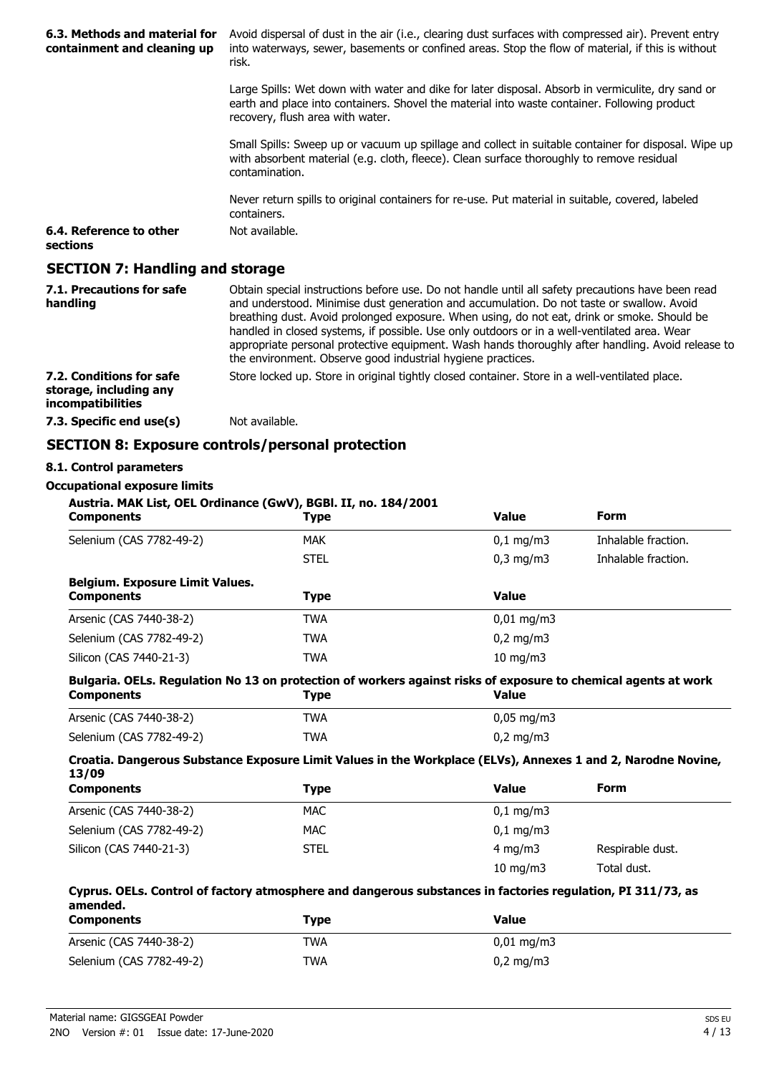| 6.3. Methods and material for<br>containment and cleaning up | Avoid dispersal of dust in the air (i.e., clearing dust surfaces with compressed air). Prevent entry<br>into waterways, sewer, basements or confined areas. Stop the flow of material, if this is without<br>risk.                                                                                                                                                                                                                                                                                                                                                |
|--------------------------------------------------------------|-------------------------------------------------------------------------------------------------------------------------------------------------------------------------------------------------------------------------------------------------------------------------------------------------------------------------------------------------------------------------------------------------------------------------------------------------------------------------------------------------------------------------------------------------------------------|
|                                                              | Large Spills: Wet down with water and dike for later disposal. Absorb in vermiculite, dry sand or<br>earth and place into containers. Shovel the material into waste container. Following product<br>recovery, flush area with water.                                                                                                                                                                                                                                                                                                                             |
|                                                              | Small Spills: Sweep up or vacuum up spillage and collect in suitable container for disposal. Wipe up<br>with absorbent material (e.g. cloth, fleece). Clean surface thoroughly to remove residual<br>contamination.                                                                                                                                                                                                                                                                                                                                               |
|                                                              | Never return spills to original containers for re-use. Put material in suitable, covered, labeled<br>containers.                                                                                                                                                                                                                                                                                                                                                                                                                                                  |
| 6.4. Reference to other<br>sections                          | Not available.                                                                                                                                                                                                                                                                                                                                                                                                                                                                                                                                                    |
| <b>SECTION 7: Handling and storage</b>                       |                                                                                                                                                                                                                                                                                                                                                                                                                                                                                                                                                                   |
| 7.1. Precautions for safe<br>handling                        | Obtain special instructions before use. Do not handle until all safety precautions have been read<br>and understood. Minimise dust generation and accumulation. Do not taste or swallow. Avoid<br>breathing dust. Avoid prolonged exposure. When using, do not eat, drink or smoke. Should be<br>handled in closed systems, if possible. Use only outdoors or in a well-ventilated area. Wear<br>appropriate personal protective equipment. Wash hands thoroughly after handling. Avoid release to<br>the environment. Observe good industrial hygiene practices. |
| 7.2. Conditions for safe<br>storage, including any           | Store locked up. Store in original tightly closed container. Store in a well-ventilated place.                                                                                                                                                                                                                                                                                                                                                                                                                                                                    |

## **SECTION 8: Exposure controls/personal protection**

## **8.1. Control parameters**

**incompatibilities**

**Occupational exposure limits**

**7.3. Specific end use(s)** Not available.

```
Austria. MAK List, OEL Ordinance (GwV), BGBl. II, no. 184/2001
```

| <b>Components</b>                                           | <b>Type</b> | <b>Value</b>          | <b>Form</b>         |
|-------------------------------------------------------------|-------------|-----------------------|---------------------|
| Selenium (CAS 7782-49-2)                                    | <b>MAK</b>  | $0,1 \, \text{mg/m}$  | Inhalable fraction. |
|                                                             | <b>STEL</b> | $0,3$ mg/m $3$        | Inhalable fraction. |
| <b>Belgium. Exposure Limit Values.</b><br><b>Components</b> | Type        | <b>Value</b>          |                     |
| Arsenic (CAS 7440-38-2)                                     | <b>TWA</b>  | $0,01 \text{ mg/m}$ 3 |                     |
| Selenium (CAS 7782-49-2)                                    | <b>TWA</b>  | $0.2 \text{ mg/m}$    |                     |
| Silicon (CAS 7440-21-3)                                     | <b>TWA</b>  | $10$ mg/m $3$         |                     |

#### **Bulgaria. OELs. Regulation No 13 on protection of workers against risks of exposure to chemical agents at work Components Type Value**

| Arsenic (CAS 7440-38-2)  | TWA | $0,05 \text{ mg/m}$ 3 |
|--------------------------|-----|-----------------------|
| Selenium (CAS 7782-49-2) | TWA | $0,2 \text{ mg/m}$    |

#### **Croatia. Dangerous Substance Exposure Limit Values in the Workplace (ELVs), Annexes 1 and 2, Narodne Novine, 13/09**

| <b>Components</b>        | Type        | <b>Value</b>            | <b>Form</b>      |
|--------------------------|-------------|-------------------------|------------------|
| Arsenic (CAS 7440-38-2)  | MAC         | $0,1 \,\mathrm{mg/m}$   |                  |
| Selenium (CAS 7782-49-2) | MAC.        | $0.1 \,\mathrm{mq/m}$ 3 |                  |
| Silicon (CAS 7440-21-3)  | <b>STEL</b> | 4 mg/m $3$              | Respirable dust. |
|                          |             | $10 \text{ mg/m}$       | Total dust.      |

#### **Cyprus. OELs. Control of factory atmosphere and dangerous substances in factories regulation, PI 311/73, as amended.**

| <b>Components</b>        | Type       | Value                  |
|--------------------------|------------|------------------------|
| Arsenic (CAS 7440-38-2)  | <b>TWA</b> | $0.01 \,\mathrm{mq/m}$ |
| Selenium (CAS 7782-49-2) | TWA        | $0,2 \text{ mg/m}$     |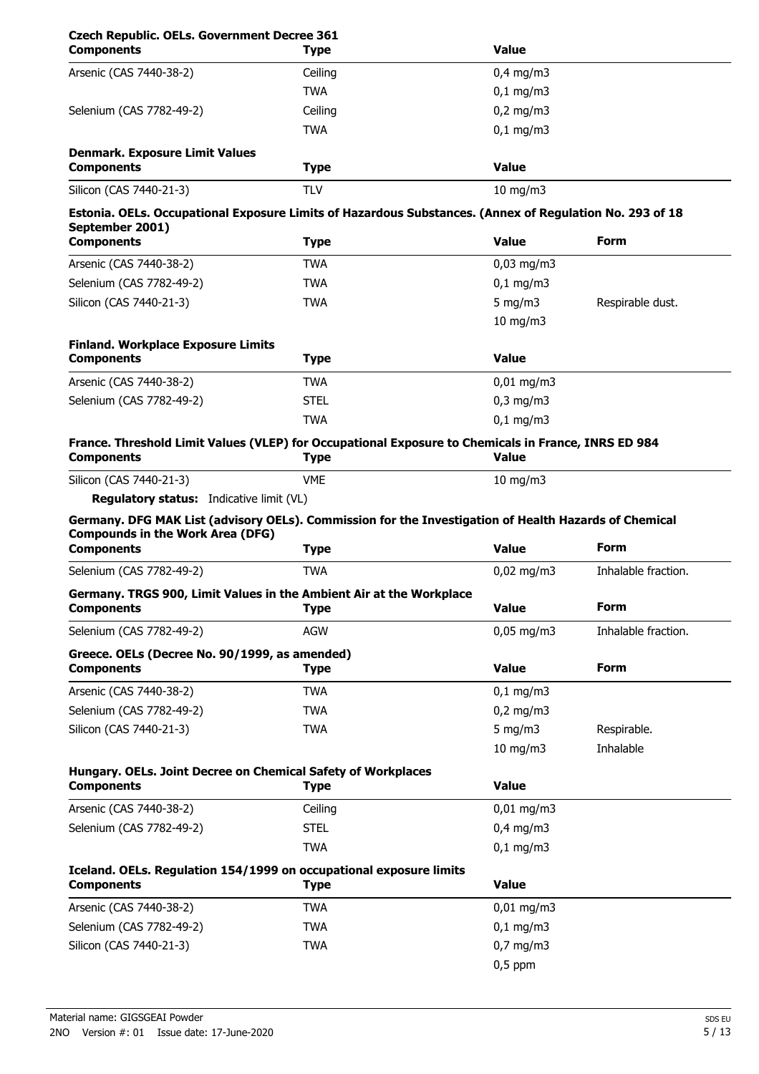| <b>Components</b>                                                                                                                                                                                                                                                                          | <b>Type</b> | <b>Value</b>             |                     |  |  |
|--------------------------------------------------------------------------------------------------------------------------------------------------------------------------------------------------------------------------------------------------------------------------------------------|-------------|--------------------------|---------------------|--|--|
| Arsenic (CAS 7440-38-2)                                                                                                                                                                                                                                                                    | Ceiling     | $0,4$ mg/m3              |                     |  |  |
|                                                                                                                                                                                                                                                                                            | <b>TWA</b>  | $0,1$ mg/m3              |                     |  |  |
| Selenium (CAS 7782-49-2)                                                                                                                                                                                                                                                                   | Ceiling     | $0,2$ mg/m3              |                     |  |  |
|                                                                                                                                                                                                                                                                                            | <b>TWA</b>  | $0,1$ mg/m3              |                     |  |  |
| <b>Denmark. Exposure Limit Values</b><br><b>Components</b>                                                                                                                                                                                                                                 | <b>Type</b> | <b>Value</b>             |                     |  |  |
| Silicon (CAS 7440-21-3)                                                                                                                                                                                                                                                                    | <b>TLV</b>  | $10 \text{ mg/m}$        |                     |  |  |
| Estonia. OELs. Occupational Exposure Limits of Hazardous Substances. (Annex of Regulation No. 293 of 18                                                                                                                                                                                    |             |                          |                     |  |  |
| September 2001)                                                                                                                                                                                                                                                                            |             |                          |                     |  |  |
| <b>Components</b>                                                                                                                                                                                                                                                                          | <b>Type</b> | <b>Value</b>             | Form                |  |  |
| Arsenic (CAS 7440-38-2)                                                                                                                                                                                                                                                                    | <b>TWA</b>  | $0.03$ mg/m3             |                     |  |  |
| Selenium (CAS 7782-49-2)                                                                                                                                                                                                                                                                   | <b>TWA</b>  | $0,1$ mg/m3              |                     |  |  |
| Silicon (CAS 7440-21-3)                                                                                                                                                                                                                                                                    | <b>TWA</b>  | 5 mg/m $3$               | Respirable dust.    |  |  |
|                                                                                                                                                                                                                                                                                            |             | $10 \text{ mg/m}$        |                     |  |  |
| <b>Finland. Workplace Exposure Limits</b>                                                                                                                                                                                                                                                  |             |                          |                     |  |  |
| <b>Components</b>                                                                                                                                                                                                                                                                          | <b>Type</b> | <b>Value</b>             |                     |  |  |
| Arsenic (CAS 7440-38-2)                                                                                                                                                                                                                                                                    | <b>TWA</b>  | $0,01$ mg/m3             |                     |  |  |
| Selenium (CAS 7782-49-2)                                                                                                                                                                                                                                                                   | <b>STEL</b> | $0,3$ mg/m $3$           |                     |  |  |
|                                                                                                                                                                                                                                                                                            | <b>TWA</b>  | $0,1$ mg/m3              |                     |  |  |
| France. Threshold Limit Values (VLEP) for Occupational Exposure to Chemicals in France, INRS ED 984<br><b>Components</b>                                                                                                                                                                   | <b>Type</b> | <b>Value</b>             |                     |  |  |
| Silicon (CAS 7440-21-3)                                                                                                                                                                                                                                                                    | <b>VME</b>  | $10$ mg/m $3$            |                     |  |  |
|                                                                                                                                                                                                                                                                                            |             |                          |                     |  |  |
| <b>Regulatory status:</b> Indicative limit (VL)                                                                                                                                                                                                                                            |             |                          |                     |  |  |
|                                                                                                                                                                                                                                                                                            |             |                          |                     |  |  |
|                                                                                                                                                                                                                                                                                            | <b>Type</b> | <b>Value</b>             | <b>Form</b>         |  |  |
| Germany. DFG MAK List (advisory OELs). Commission for the Investigation of Health Hazards of Chemical<br><b>Compounds in the Work Area (DFG)</b><br><b>Components</b><br>Selenium (CAS 7782-49-2)                                                                                          | <b>TWA</b>  | $0.02$ mg/m3             | Inhalable fraction. |  |  |
|                                                                                                                                                                                                                                                                                            |             |                          |                     |  |  |
|                                                                                                                                                                                                                                                                                            | <b>Type</b> | <b>Value</b>             | <b>Form</b>         |  |  |
|                                                                                                                                                                                                                                                                                            | <b>AGW</b>  | $0,05$ mg/m3             | Inhalable fraction. |  |  |
|                                                                                                                                                                                                                                                                                            |             |                          |                     |  |  |
|                                                                                                                                                                                                                                                                                            | <b>Type</b> | <b>Value</b>             | <b>Form</b>         |  |  |
|                                                                                                                                                                                                                                                                                            | <b>TWA</b>  | $0,1$ mg/m3              |                     |  |  |
|                                                                                                                                                                                                                                                                                            | <b>TWA</b>  | $0,2$ mg/m $3$           |                     |  |  |
|                                                                                                                                                                                                                                                                                            | <b>TWA</b>  | 5 mg/m $3$               | Respirable.         |  |  |
| Germany. TRGS 900, Limit Values in the Ambient Air at the Workplace<br><b>Components</b><br>Selenium (CAS 7782-49-2)<br>Greece. OELs (Decree No. 90/1999, as amended)<br><b>Components</b><br>Arsenic (CAS 7440-38-2)<br>Selenium (CAS 7782-49-2)<br>Silicon (CAS 7440-21-3)               |             | $10$ mg/m $3$            | Inhalable           |  |  |
|                                                                                                                                                                                                                                                                                            |             |                          |                     |  |  |
|                                                                                                                                                                                                                                                                                            | <b>Type</b> | <b>Value</b>             |                     |  |  |
|                                                                                                                                                                                                                                                                                            | Ceiling     | $0,01$ mg/m3             |                     |  |  |
|                                                                                                                                                                                                                                                                                            | <b>STEL</b> | $0,4$ mg/m3              |                     |  |  |
|                                                                                                                                                                                                                                                                                            | <b>TWA</b>  | $0,1$ mg/m3              |                     |  |  |
|                                                                                                                                                                                                                                                                                            |             |                          |                     |  |  |
|                                                                                                                                                                                                                                                                                            | <b>Type</b> | <b>Value</b>             |                     |  |  |
|                                                                                                                                                                                                                                                                                            | <b>TWA</b>  | $0,01$ mg/m3             |                     |  |  |
| Hungary. OELs. Joint Decree on Chemical Safety of Workplaces<br><b>Components</b><br>Arsenic (CAS 7440-38-2)<br>Selenium (CAS 7782-49-2)<br>Iceland. OELs. Regulation 154/1999 on occupational exposure limits<br><b>Components</b><br>Arsenic (CAS 7440-38-2)<br>Selenium (CAS 7782-49-2) | <b>TWA</b>  |                          |                     |  |  |
|                                                                                                                                                                                                                                                                                            |             | $0,1$ mg/m3              |                     |  |  |
| Silicon (CAS 7440-21-3)                                                                                                                                                                                                                                                                    | <b>TWA</b>  | $0,7$ mg/m3<br>$0,5$ ppm |                     |  |  |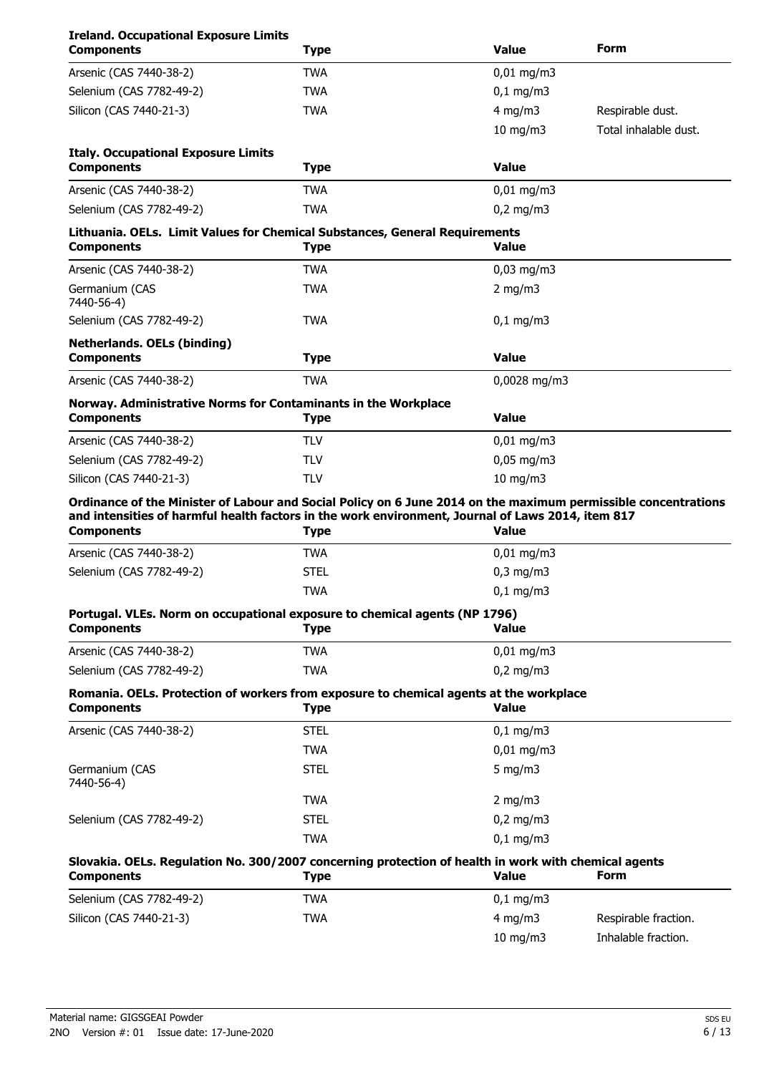| <b>Ireland. Occupational Exposure Limits</b><br><b>Components</b>                                                                                                                                                                        | <b>Type</b> | <b>Value</b>                  | Form                  |
|------------------------------------------------------------------------------------------------------------------------------------------------------------------------------------------------------------------------------------------|-------------|-------------------------------|-----------------------|
| Arsenic (CAS 7440-38-2)                                                                                                                                                                                                                  | <b>TWA</b>  | $0,01$ mg/m3                  |                       |
| Selenium (CAS 7782-49-2)                                                                                                                                                                                                                 | <b>TWA</b>  | $0,1$ mg/m3                   |                       |
| Silicon (CAS 7440-21-3)                                                                                                                                                                                                                  | <b>TWA</b>  | $4$ mg/m $3$                  | Respirable dust.      |
|                                                                                                                                                                                                                                          |             | 10 mg/m $3$                   | Total inhalable dust. |
| <b>Italy. Occupational Exposure Limits</b><br><b>Components</b>                                                                                                                                                                          | <b>Type</b> | <b>Value</b>                  |                       |
| Arsenic (CAS 7440-38-2)                                                                                                                                                                                                                  | <b>TWA</b>  | $0,01$ mg/m3                  |                       |
| Selenium (CAS 7782-49-2)                                                                                                                                                                                                                 | <b>TWA</b>  | $0,2$ mg/m $3$                |                       |
| Lithuania. OELs. Limit Values for Chemical Substances, General Requirements<br><b>Components</b>                                                                                                                                         | <b>Type</b> | Value                         |                       |
| Arsenic (CAS 7440-38-2)                                                                                                                                                                                                                  | TWA         | $0,03$ mg/m3                  |                       |
| Germanium (CAS<br>7440-56-4)                                                                                                                                                                                                             | <b>TWA</b>  | 2 mg/m $3$                    |                       |
| Selenium (CAS 7782-49-2)                                                                                                                                                                                                                 | <b>TWA</b>  | $0,1 \, \text{mg/m}$          |                       |
| <b>Netherlands. OELs (binding)</b><br><b>Components</b>                                                                                                                                                                                  | <b>Type</b> | <b>Value</b>                  |                       |
| Arsenic (CAS 7440-38-2)                                                                                                                                                                                                                  | <b>TWA</b>  | 0,0028 mg/m3                  |                       |
| Norway. Administrative Norms for Contaminants in the Workplace<br><b>Components</b>                                                                                                                                                      | <b>Type</b> | <b>Value</b>                  |                       |
| Arsenic (CAS 7440-38-2)                                                                                                                                                                                                                  | <b>TLV</b>  | $0,01$ mg/m3                  |                       |
| Selenium (CAS 7782-49-2)                                                                                                                                                                                                                 | <b>TLV</b>  | $0,05$ mg/m3                  |                       |
| Silicon (CAS 7440-21-3)                                                                                                                                                                                                                  | <b>TLV</b>  | 10 mg/m3                      |                       |
| Ordinance of the Minister of Labour and Social Policy on 6 June 2014 on the maximum permissible concentrations<br>and intensities of harmful health factors in the work environment, Journal of Laws 2014, item 817<br><b>Components</b> | <b>Type</b> | <b>Value</b>                  |                       |
|                                                                                                                                                                                                                                          | <b>TWA</b>  |                               |                       |
| Arsenic (CAS 7440-38-2)<br>Selenium (CAS 7782-49-2)                                                                                                                                                                                      | <b>STEL</b> | 0,01 mg/m3                    |                       |
|                                                                                                                                                                                                                                          | <b>TWA</b>  | $0,3$ mg/m $3$<br>$0,1$ mg/m3 |                       |
|                                                                                                                                                                                                                                          |             |                               |                       |
| Portugal. VLEs. Norm on occupational exposure to chemical agents (NP 1796)<br><b>Components</b>                                                                                                                                          | <b>Type</b> | <b>Value</b>                  |                       |
| Arsenic (CAS 7440-38-2)                                                                                                                                                                                                                  | <b>TWA</b>  | $0,01 \text{ mg/m}$ 3         |                       |
| Selenium (CAS 7782-49-2)                                                                                                                                                                                                                 | <b>TWA</b>  | $0,2$ mg/m3                   |                       |
| Romania. OELs. Protection of workers from exposure to chemical agents at the workplace<br><b>Components</b>                                                                                                                              | <b>Type</b> | <b>Value</b>                  |                       |
| Arsenic (CAS 7440-38-2)                                                                                                                                                                                                                  | <b>STEL</b> | $0,1$ mg/m3                   |                       |
|                                                                                                                                                                                                                                          | <b>TWA</b>  | $0,01$ mg/m3                  |                       |
| Germanium (CAS<br>7440-56-4)                                                                                                                                                                                                             | <b>STEL</b> | 5 mg/m $3$                    |                       |
|                                                                                                                                                                                                                                          | <b>TWA</b>  | $2$ mg/m $3$                  |                       |
| Selenium (CAS 7782-49-2)                                                                                                                                                                                                                 | <b>STEL</b> | $0,2$ mg/m3                   |                       |
|                                                                                                                                                                                                                                          | <b>TWA</b>  | $0,1$ mg/m3                   |                       |
| Slovakia. OELs. Regulation No. 300/2007 concerning protection of health in work with chemical agents<br><b>Components</b>                                                                                                                | <b>Type</b> | <b>Value</b>                  | Form                  |
| Selenium (CAS 7782-49-2)                                                                                                                                                                                                                 | <b>TWA</b>  | $0,1$ mg/m3                   |                       |
| Silicon (CAS 7440-21-3)                                                                                                                                                                                                                  | <b>TWA</b>  | $4$ mg/m $3$                  | Respirable fraction.  |
|                                                                                                                                                                                                                                          |             | 10 mg/m3                      | Inhalable fraction.   |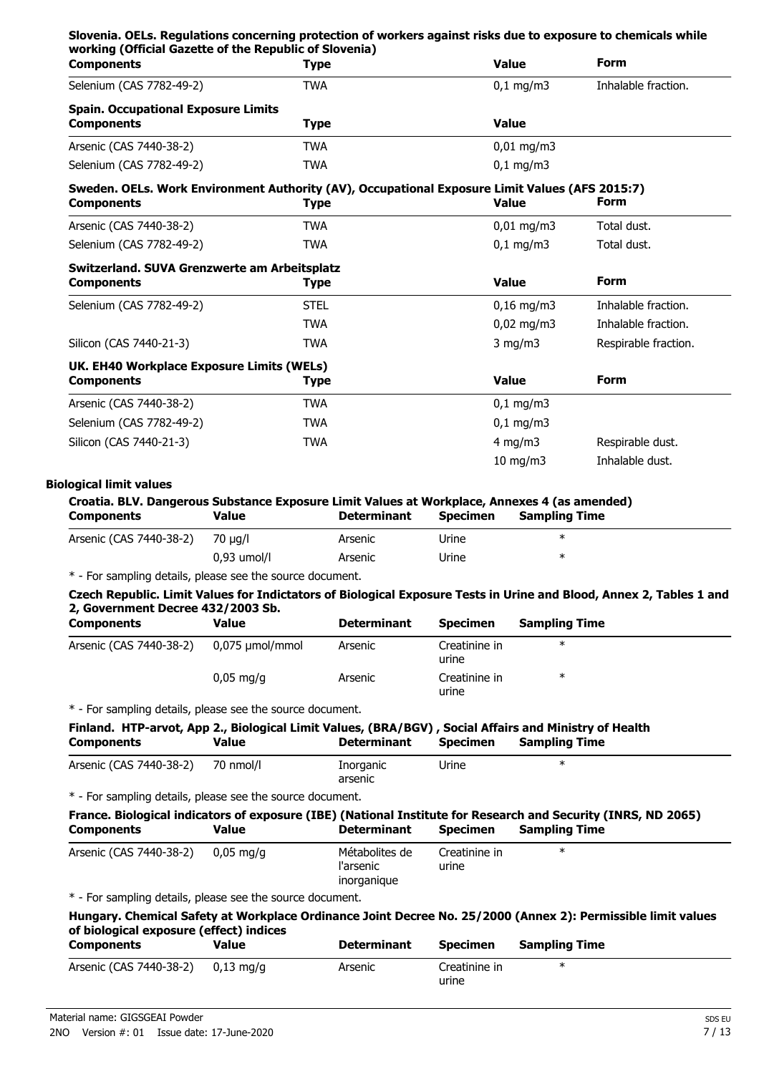| <b>Components</b>                                                                              | <b>Type</b> | <b>Value</b>          | <b>Form</b>          |  |
|------------------------------------------------------------------------------------------------|-------------|-----------------------|----------------------|--|
| Selenium (CAS 7782-49-2)                                                                       | <b>TWA</b>  | $0,1$ mg/m3           | Inhalable fraction.  |  |
| <b>Spain. Occupational Exposure Limits</b>                                                     |             |                       |                      |  |
| <b>Components</b>                                                                              | <b>Type</b> | <b>Value</b>          |                      |  |
| Arsenic (CAS 7440-38-2)                                                                        | <b>TWA</b>  | $0,01 \text{ mg/m}$ 3 |                      |  |
| Selenium (CAS 7782-49-2)                                                                       | <b>TWA</b>  | $0,1$ mg/m3           |                      |  |
| Sweden. OELs. Work Environment Authority (AV), Occupational Exposure Limit Values (AFS 2015:7) |             |                       |                      |  |
| <b>Components</b>                                                                              | Type        | <b>Value</b>          | <b>Form</b>          |  |
| Arsenic (CAS 7440-38-2)                                                                        | <b>TWA</b>  | $0,01 \text{ mg/m}$ 3 | Total dust.          |  |
| Selenium (CAS 7782-49-2)                                                                       | <b>TWA</b>  | $0,1$ mg/m3           | Total dust.          |  |
| Switzerland. SUVA Grenzwerte am Arbeitsplatz                                                   |             |                       |                      |  |
| <b>Components</b>                                                                              | <b>Type</b> | <b>Value</b>          | <b>Form</b>          |  |
| Selenium (CAS 7782-49-2)                                                                       | <b>STEL</b> | $0,16$ mg/m3          | Inhalable fraction.  |  |
|                                                                                                | <b>TWA</b>  | $0,02 \text{ mg/m}$ 3 | Inhalable fraction.  |  |
| Silicon (CAS 7440-21-3)                                                                        | <b>TWA</b>  | $3$ mg/m $3$          | Respirable fraction. |  |
| UK. EH40 Workplace Exposure Limits (WELs)                                                      |             |                       |                      |  |
| <b>Components</b>                                                                              | Type        | <b>Value</b>          | <b>Form</b>          |  |
| Arsenic (CAS 7440-38-2)                                                                        | <b>TWA</b>  | $0.1 \text{ mg/m}$    |                      |  |
| Selenium (CAS 7782-49-2)                                                                       | <b>TWA</b>  | $0,1$ mg/m3           |                      |  |
| Silicon (CAS 7440-21-3)                                                                        | <b>TWA</b>  | $4 \text{ mg/m}$      | Respirable dust.     |  |
|                                                                                                |             | $10$ mg/m $3$         | Inhalable dust.      |  |

## **Croatia. BLV. Dangerous Substance Exposure Limit Values at Workplace, Annexes 4 (as amended)**

| <b>Components</b>       | Value         | <b>Determinant</b> | <b>Specimen</b> | <b>Sampling Time</b> |  |
|-------------------------|---------------|--------------------|-----------------|----------------------|--|
| Arsenic (CAS 7440-38-2) | 70 µg/l       | Arsenic            | Urine           | ж                    |  |
|                         | $0.93$ umol/l | Arsenic            | Urine           |                      |  |
| .                       |               |                    |                 |                      |  |

\* - For sampling details, please see the source document.

#### **Czech Republic. Limit Values for Indictators of Biological Exposure Tests in Urine and Blood, Annex 2, Tables 1 and 2, Government Decree 432/2003 Sb.**

| <b>Components</b>       | Value                  | <b>Determinant</b> | <b>Specimen</b>        | <b>Sampling Time</b> |  |
|-------------------------|------------------------|--------------------|------------------------|----------------------|--|
| Arsenic (CAS 7440-38-2) | 0,075 µmol/mmol        | Arsenic            | Creatinine in<br>urine | $\ast$               |  |
|                         | $0.05 \,\mathrm{mq/q}$ | Arsenic            | Creatinine in<br>urine | $\ast$               |  |

\* - For sampling details, please see the source document.

| Finland. HTP-arvot, App 2., Biological Limit Values, (BRA/BGV), Social Affairs and Ministry of Health |          |             |                                              |                        |  |  |
|-------------------------------------------------------------------------------------------------------|----------|-------------|----------------------------------------------|------------------------|--|--|
| <b>Components</b>                                                                                     | Value    | Determinant |                                              | Specimen Sampling Time |  |  |
| $A_{\text{max}}$ $\sim$ $I$ $C$ $\wedge$ $C$ $T$ $A$ $A$ $\wedge$ $D$ $\wedge$ $D$                    | 70 ----- | T.          | $\blacksquare$ $\blacksquare$ $\blacksquare$ |                        |  |  |

| Arsenic (CAS 7440-38-2) 70 nmol/l | Inorganic | Urine |  |
|-----------------------------------|-----------|-------|--|
|                                   | arsenic   |       |  |

\* - For sampling details, please see the source document.

### **France. Biological indicators of exposure (IBE) (National Institute for Research and Security (INRS, ND 2065) Components Value Determinant Specimen Sampling Time**

| Arsenic (CAS 7440-38-2) 0,05 mg/g | Métabolites de<br>l'arsenic<br>inorganique | Creatinine in<br>urine | ж |  |
|-----------------------------------|--------------------------------------------|------------------------|---|--|

\* - For sampling details, please see the source document.

## **Hungary. Chemical Safety at Workplace Ordinance Joint Decree No. 25/2000 (Annex 2): Permissible limit values of biological exposure (effect) indices**

| <b>Components</b>                 | Value | <b>Determinant</b> | <b>Specimen</b>        | <b>Sampling Time</b> |
|-----------------------------------|-------|--------------------|------------------------|----------------------|
| Arsenic (CAS 7440-38-2) 0,13 mg/g |       | Arsenic            | Creatinine in<br>urine |                      |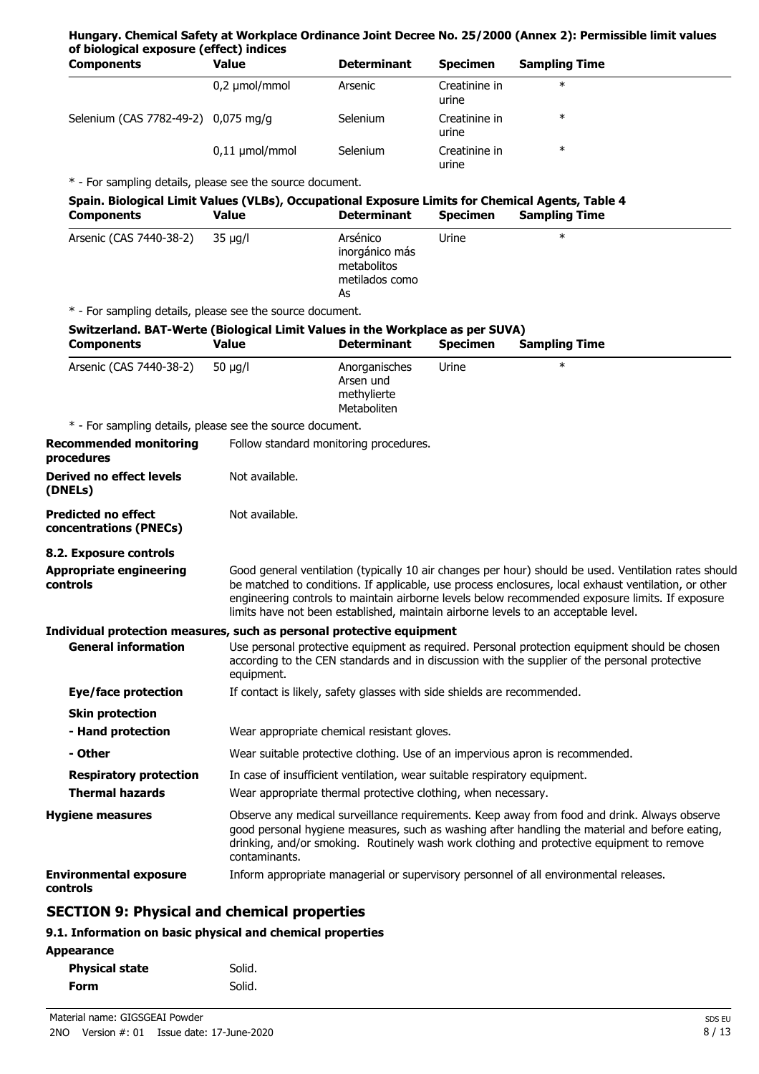#### **Hungary. Chemical Safety at Workplace Ordinance Joint Decree No. 25/2000 (Annex 2): Permissible limit values of biological exposure (effect) indices**

| <b>Components</b>                   | Value               | <b>Determinant</b> | <b>Specimen</b>        | <b>Sampling Time</b> |
|-------------------------------------|---------------------|--------------------|------------------------|----------------------|
|                                     | $0,2 \mu$ mol/mmol  | Arsenic            | Creatinine in<br>urine | $\ast$               |
| Selenium (CAS 7782-49-2) 0,075 mg/g |                     | <b>Selenium</b>    | Creatinine in<br>urine | $\ast$               |
|                                     | $0,11 \mu$ mol/mmol | Selenium           | Creatinine in<br>urine | $\ast$               |

\* - For sampling details, please see the source document.

| Spain. Biological Limit Values (VLBs), Occupational Exposure Limits for Chemical Agents, Table 4 |       |                    |                 |                      |  |
|--------------------------------------------------------------------------------------------------|-------|--------------------|-----------------|----------------------|--|
| <b>Components</b>                                                                                | Value | <b>Determinant</b> | <b>Specimen</b> | <b>Sampling Time</b> |  |

| Arsenic (CAS 7440-38-2)                                                                            | 35 µg/l                                                   | Arsénico<br>inorgánico más<br>metabolitos<br>metilados como<br>As | Urine           | $\ast$        |  |  |  |  |
|----------------------------------------------------------------------------------------------------|-----------------------------------------------------------|-------------------------------------------------------------------|-----------------|---------------|--|--|--|--|
|                                                                                                    | * - For sampling details, please see the source document. |                                                                   |                 |               |  |  |  |  |
| Switzerland. BAT-Werte (Biological Limit Values in the Workplace as per SUVA)<br><b>Components</b> | Value                                                     | <b>Determinant</b>                                                | <b>Specimen</b> | Sampling Time |  |  |  |  |

| Arsenic (CAS 7440-38-2)                                               | 50 $\mu$ g/l   | Anorganisches<br>Arsen und<br>methylierte<br>Metaboliten                  | Urine | $\ast$                                                                                                                                                                                                                                                                                                                                                                                                 |
|-----------------------------------------------------------------------|----------------|---------------------------------------------------------------------------|-------|--------------------------------------------------------------------------------------------------------------------------------------------------------------------------------------------------------------------------------------------------------------------------------------------------------------------------------------------------------------------------------------------------------|
| * - For sampling details, please see the source document.             |                |                                                                           |       |                                                                                                                                                                                                                                                                                                                                                                                                        |
| <b>Recommended monitoring</b><br>procedures                           |                | Follow standard monitoring procedures.                                    |       |                                                                                                                                                                                                                                                                                                                                                                                                        |
| <b>Derived no effect levels</b><br>(DNELs)                            | Not available. |                                                                           |       |                                                                                                                                                                                                                                                                                                                                                                                                        |
| <b>Predicted no effect</b><br>concentrations (PNECs)                  | Not available. |                                                                           |       |                                                                                                                                                                                                                                                                                                                                                                                                        |
| 8.2. Exposure controls                                                |                |                                                                           |       |                                                                                                                                                                                                                                                                                                                                                                                                        |
| <b>Appropriate engineering</b><br>controls                            |                |                                                                           |       | Good general ventilation (typically 10 air changes per hour) should be used. Ventilation rates should<br>be matched to conditions. If applicable, use process enclosures, local exhaust ventilation, or other<br>engineering controls to maintain airborne levels below recommended exposure limits. If exposure<br>limits have not been established, maintain airborne levels to an acceptable level. |
| Individual protection measures, such as personal protective equipment |                |                                                                           |       |                                                                                                                                                                                                                                                                                                                                                                                                        |
| <b>General information</b>                                            | equipment.     |                                                                           |       | Use personal protective equipment as required. Personal protection equipment should be chosen<br>according to the CEN standards and in discussion with the supplier of the personal protective                                                                                                                                                                                                         |
| Eye/face protection                                                   |                | If contact is likely, safety glasses with side shields are recommended.   |       |                                                                                                                                                                                                                                                                                                                                                                                                        |
| <b>Skin protection</b>                                                |                |                                                                           |       |                                                                                                                                                                                                                                                                                                                                                                                                        |
| - Hand protection                                                     |                | Wear appropriate chemical resistant gloves.                               |       |                                                                                                                                                                                                                                                                                                                                                                                                        |
| - Other                                                               |                |                                                                           |       | Wear suitable protective clothing. Use of an impervious apron is recommended.                                                                                                                                                                                                                                                                                                                          |
| <b>Respiratory protection</b>                                         |                | In case of insufficient ventilation, wear suitable respiratory equipment. |       |                                                                                                                                                                                                                                                                                                                                                                                                        |
| <b>Thermal hazards</b>                                                |                | Wear appropriate thermal protective clothing, when necessary.             |       |                                                                                                                                                                                                                                                                                                                                                                                                        |
| <b>Hygiene measures</b>                                               | contaminants.  |                                                                           |       | Observe any medical surveillance requirements. Keep away from food and drink. Always observe<br>good personal hygiene measures, such as washing after handling the material and before eating,<br>drinking, and/or smoking. Routinely wash work clothing and protective equipment to remove                                                                                                            |
| <b>Environmental exposure</b><br>controls                             |                |                                                                           |       | Inform appropriate managerial or supervisory personnel of all environmental releases.                                                                                                                                                                                                                                                                                                                  |
| FATTAN A. Bhushaal and ahamisal nuan uti                              |                |                                                                           |       |                                                                                                                                                                                                                                                                                                                                                                                                        |

## **SECTION 9: Physical and chemical properties**

## **9.1. Information on basic physical and chemical properties**

#### **Appearance**

| <b>Physical state</b> | Solid. |
|-----------------------|--------|
| Form                  | Solid. |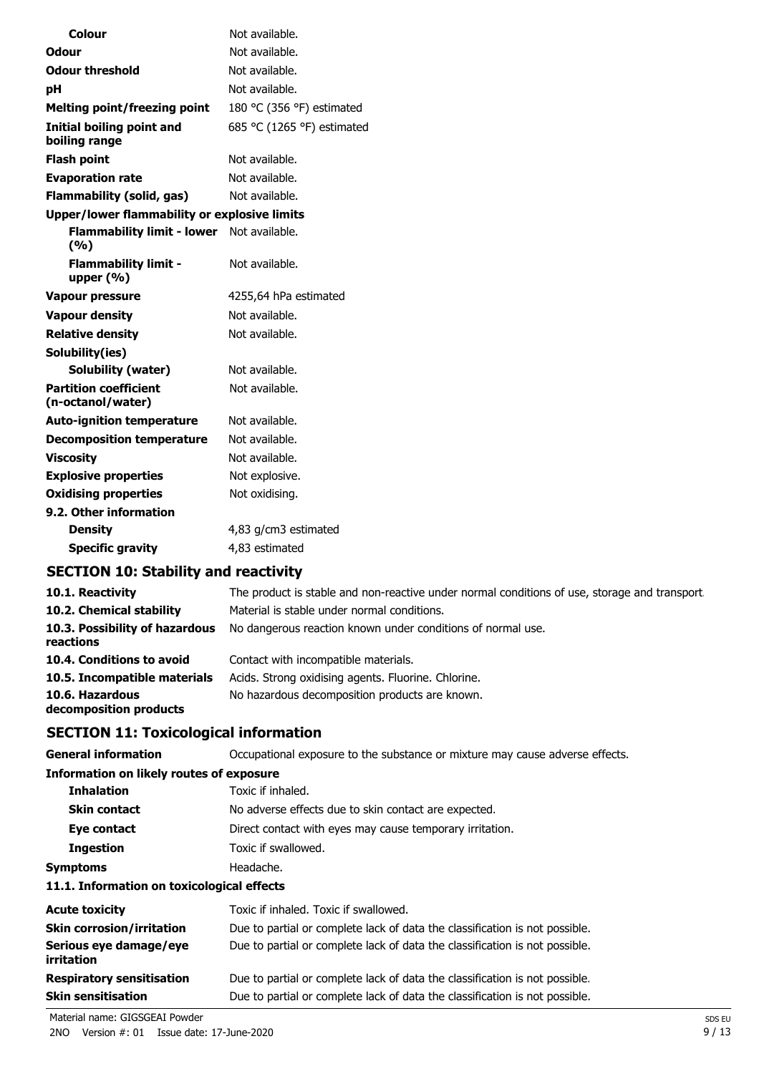| Colour                                              | Not available.             |
|-----------------------------------------------------|----------------------------|
|                                                     |                            |
| Odour                                               | Not available.             |
| <b>Odour threshold</b>                              | Not available.             |
| pН                                                  | Not available.             |
| <b>Melting point/freezing point</b>                 | 180 °C (356 °F) estimated  |
| <b>Initial boiling point and</b><br>boiling range   | 685 °C (1265 °F) estimated |
| <b>Flash point</b>                                  | Not available.             |
| <b>Evaporation rate</b>                             | Not available.             |
| <b>Flammability (solid, gas)</b>                    | Not available.             |
| <b>Upper/lower flammability or explosive limits</b> |                            |
| <b>Flammability limit - lower</b><br>(%)            | Not available.             |
| <b>Flammability limit -</b><br>upper $(% )$         | Not available.             |
| <b>Vapour pressure</b>                              | 4255,64 hPa estimated      |
| <b>Vapour density</b>                               | Not available.             |
| <b>Relative density</b>                             | Not available.             |
| Solubility(ies)                                     |                            |
| <b>Solubility (water)</b>                           | Not available.             |
| <b>Partition coefficient</b><br>(n-octanol/water)   | Not available.             |
| <b>Auto-ignition temperature</b>                    | Not available.             |
| <b>Decomposition temperature</b>                    | Not available.             |
| <b>Viscosity</b>                                    | Not available.             |
| <b>Explosive properties</b>                         | Not explosive.             |
| <b>Oxidising properties</b>                         | Not oxidising.             |
| 9.2. Other information                              |                            |
| <b>Density</b>                                      | 4,83 g/cm3 estimated       |
| <b>Specific gravity</b>                             | 4,83 estimated             |

## **SECTION 10: Stability and reactivity**

| 10.1. Reactivity                            | The product is stable and non-reactive under normal conditions of use, storage and transport. |
|---------------------------------------------|-----------------------------------------------------------------------------------------------|
| 10.2. Chemical stability                    | Material is stable under normal conditions.                                                   |
| 10.3. Possibility of hazardous<br>reactions | No dangerous reaction known under conditions of normal use.                                   |
| 10.4. Conditions to avoid                   | Contact with incompatible materials.                                                          |
| 10.5. Incompatible materials                | Acids. Strong oxidising agents. Fluorine. Chlorine.                                           |
| 10.6. Hazardous<br>decomposition products   | No hazardous decomposition products are known.                                                |

## **SECTION 11: Toxicological information**

| <b>General information</b>                      | Occupational exposure to the substance or mixture may cause adverse effects. |  |  |
|-------------------------------------------------|------------------------------------------------------------------------------|--|--|
| <b>Information on likely routes of exposure</b> |                                                                              |  |  |
| <b>Inhalation</b>                               | Toxic if inhaled.                                                            |  |  |
| <b>Skin contact</b>                             | No adverse effects due to skin contact are expected.                         |  |  |
| Eye contact                                     | Direct contact with eyes may cause temporary irritation.                     |  |  |
| <b>Ingestion</b>                                | Toxic if swallowed.                                                          |  |  |
| <b>Symptoms</b>                                 | Headache.                                                                    |  |  |
| 11.1. Information on toxicological effects      |                                                                              |  |  |
| <b>Acute toxicity</b>                           | Toxic if inhaled. Toxic if swallowed.                                        |  |  |
| <b>Skin corrosion/irritation</b>                | Due to partial or complete lack of data the classification is not possible.  |  |  |
| Serious eye damage/eye<br>irritation            | Due to partial or complete lack of data the classification is not possible.  |  |  |
| <b>Respiratory sensitisation</b>                | Due to partial or complete lack of data the classification is not possible.  |  |  |
| <b>Skin sensitisation</b>                       | Due to partial or complete lack of data the classification is not possible.  |  |  |

Material name: GIGSGEAI Powder SDS EU

2NO Version #: 01 Issue date: 17-June-2020 9 / 13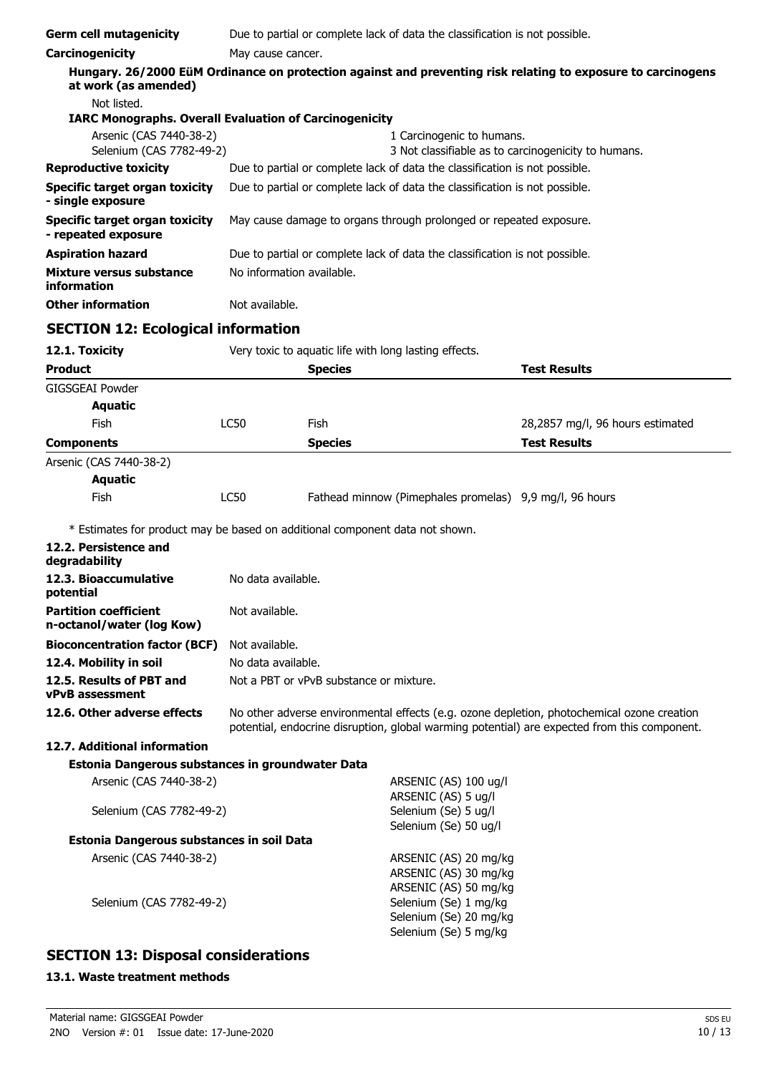| <b>Germ cell mutagenicity</b>                                                | Due to partial or complete lack of data the classification is not possible.                                                                                                                |                                                                      |                                                                                  |                                                                                                              |
|------------------------------------------------------------------------------|--------------------------------------------------------------------------------------------------------------------------------------------------------------------------------------------|----------------------------------------------------------------------|----------------------------------------------------------------------------------|--------------------------------------------------------------------------------------------------------------|
| Carcinogenicity                                                              | May cause cancer.                                                                                                                                                                          |                                                                      |                                                                                  |                                                                                                              |
| at work (as amended)                                                         |                                                                                                                                                                                            |                                                                      |                                                                                  | Hungary. 26/2000 EüM Ordinance on protection against and preventing risk relating to exposure to carcinogens |
| Not listed.                                                                  |                                                                                                                                                                                            |                                                                      |                                                                                  |                                                                                                              |
| <b>IARC Monographs. Overall Evaluation of Carcinogenicity</b>                |                                                                                                                                                                                            |                                                                      |                                                                                  |                                                                                                              |
| Arsenic (CAS 7440-38-2)<br>Selenium (CAS 7782-49-2)                          |                                                                                                                                                                                            |                                                                      | 1 Carcinogenic to humans.<br>3 Not classifiable as to carcinogenicity to humans. |                                                                                                              |
| <b>Reproductive toxicity</b>                                                 |                                                                                                                                                                                            |                                                                      | Due to partial or complete lack of data the classification is not possible.      |                                                                                                              |
| <b>Specific target organ toxicity</b><br>- single exposure                   |                                                                                                                                                                                            |                                                                      | Due to partial or complete lack of data the classification is not possible.      |                                                                                                              |
| <b>Specific target organ toxicity</b><br>- repeated exposure                 |                                                                                                                                                                                            | May cause damage to organs through prolonged or repeated exposure.   |                                                                                  |                                                                                                              |
| <b>Aspiration hazard</b>                                                     |                                                                                                                                                                                            |                                                                      | Due to partial or complete lack of data the classification is not possible.      |                                                                                                              |
| Mixture versus substance<br>information                                      | No information available.                                                                                                                                                                  |                                                                      |                                                                                  |                                                                                                              |
| <b>Other information</b>                                                     | Not available.                                                                                                                                                                             |                                                                      |                                                                                  |                                                                                                              |
| <b>SECTION 12: Ecological information</b>                                    |                                                                                                                                                                                            |                                                                      |                                                                                  |                                                                                                              |
| 12.1. Toxicity                                                               |                                                                                                                                                                                            |                                                                      | Very toxic to aquatic life with long lasting effects.                            |                                                                                                              |
| <b>Product</b>                                                               |                                                                                                                                                                                            | <b>Species</b>                                                       |                                                                                  | <b>Test Results</b>                                                                                          |
| <b>GIGSGEAI Powder</b>                                                       |                                                                                                                                                                                            |                                                                      |                                                                                  |                                                                                                              |
| <b>Aquatic</b>                                                               |                                                                                                                                                                                            |                                                                      |                                                                                  |                                                                                                              |
| Fish                                                                         | <b>LC50</b>                                                                                                                                                                                | <b>Fish</b>                                                          |                                                                                  | 28,2857 mg/l, 96 hours estimated                                                                             |
| <b>Components</b>                                                            |                                                                                                                                                                                            | <b>Species</b>                                                       |                                                                                  | <b>Test Results</b>                                                                                          |
| Arsenic (CAS 7440-38-2)                                                      |                                                                                                                                                                                            |                                                                      |                                                                                  |                                                                                                              |
| <b>Aquatic</b>                                                               |                                                                                                                                                                                            |                                                                      |                                                                                  |                                                                                                              |
| Fish                                                                         | <b>LC50</b>                                                                                                                                                                                |                                                                      | Fathead minnow (Pimephales promelas) 9,9 mg/l, 96 hours                          |                                                                                                              |
| * Estimates for product may be based on additional component data not shown. |                                                                                                                                                                                            |                                                                      |                                                                                  |                                                                                                              |
| 12.2. Persistence and<br>degradability                                       |                                                                                                                                                                                            |                                                                      |                                                                                  |                                                                                                              |
| 12.3. Bioaccumulative<br>potential                                           |                                                                                                                                                                                            | No data available.                                                   |                                                                                  |                                                                                                              |
| <b>Partition coefficient</b><br>n-octanol/water (log Kow)                    | Not available.                                                                                                                                                                             |                                                                      |                                                                                  |                                                                                                              |
| <b>Bioconcentration factor (BCF)</b>                                         | Not available.                                                                                                                                                                             |                                                                      |                                                                                  |                                                                                                              |
| 12.4. Mobility in soil                                                       | No data available.                                                                                                                                                                         |                                                                      |                                                                                  |                                                                                                              |
| 12.5. Results of PBT and<br>vPvB assessment                                  | Not a PBT or vPvB substance or mixture.                                                                                                                                                    |                                                                      |                                                                                  |                                                                                                              |
| 12.6. Other adverse effects                                                  | No other adverse environmental effects (e.g. ozone depletion, photochemical ozone creation<br>potential, endocrine disruption, global warming potential) are expected from this component. |                                                                      |                                                                                  |                                                                                                              |
| 12.7. Additional information                                                 |                                                                                                                                                                                            |                                                                      |                                                                                  |                                                                                                              |
| Estonia Dangerous substances in groundwater Data                             |                                                                                                                                                                                            |                                                                      |                                                                                  |                                                                                                              |
| Arsenic (CAS 7440-38-2)                                                      |                                                                                                                                                                                            |                                                                      | ARSENIC (AS) 100 ug/l                                                            |                                                                                                              |
| Selenium (CAS 7782-49-2)                                                     |                                                                                                                                                                                            | ARSENIC (AS) 5 ug/l<br>Selenium (Se) 5 ug/l<br>Selenium (Se) 50 ug/l |                                                                                  |                                                                                                              |
| Estonia Dangerous substances in soil Data                                    |                                                                                                                                                                                            |                                                                      |                                                                                  |                                                                                                              |
| Arsenic (CAS 7440-38-2)                                                      |                                                                                                                                                                                            |                                                                      | ARSENIC (AS) 20 mg/kg<br>ARSENIC (AS) 30 mg/kg<br>ARSENIC (AS) 50 mg/kg          |                                                                                                              |
| Selenium (CAS 7782-49-2)                                                     |                                                                                                                                                                                            |                                                                      | Selenium (Se) 1 mg/kg<br>Selenium (Se) 20 mg/kg<br>Selenium (Se) 5 mg/kg         |                                                                                                              |

## **SECTION 13: Disposal considerations**

#### **13.1. Waste treatment methods**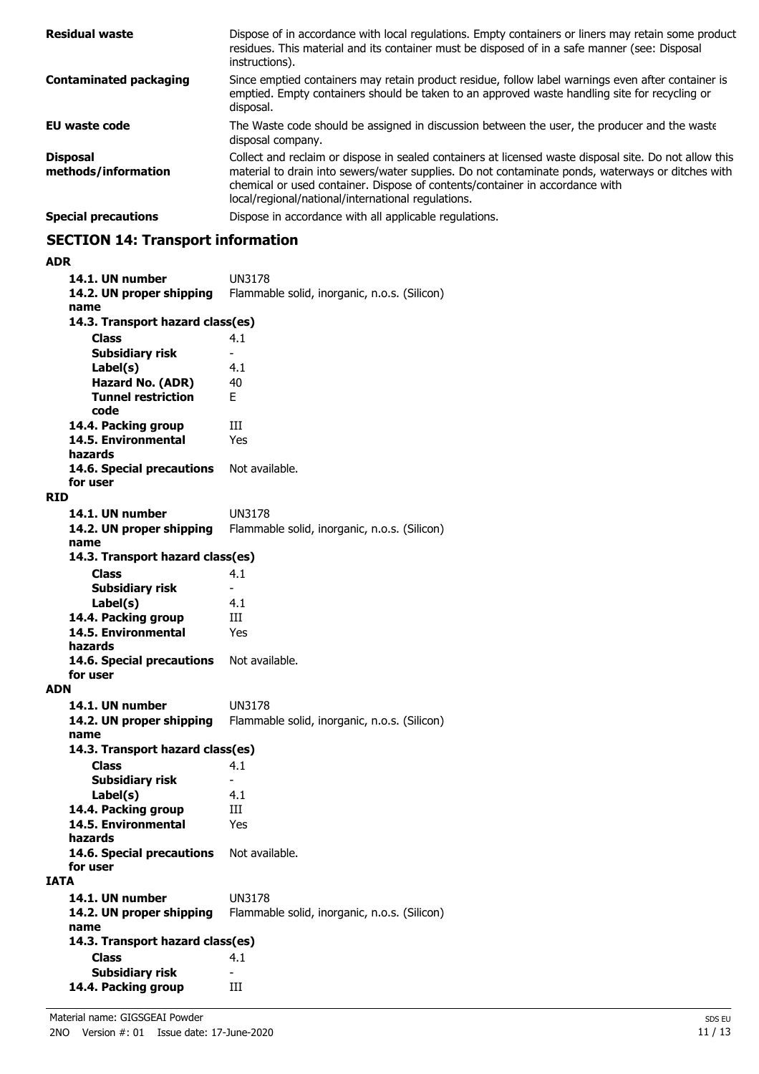| <b>Residual waste</b>                  | Dispose of in accordance with local regulations. Empty containers or liners may retain some product<br>residues. This material and its container must be disposed of in a safe manner (see: Disposal<br>instructions).                                                                                                                            |
|----------------------------------------|---------------------------------------------------------------------------------------------------------------------------------------------------------------------------------------------------------------------------------------------------------------------------------------------------------------------------------------------------|
| <b>Contaminated packaging</b>          | Since emptied containers may retain product residue, follow label warnings even after container is<br>emptied. Empty containers should be taken to an approved waste handling site for recycling or<br>disposal.                                                                                                                                  |
| EU waste code                          | The Waste code should be assigned in discussion between the user, the producer and the waste<br>disposal company.                                                                                                                                                                                                                                 |
| <b>Disposal</b><br>methods/information | Collect and reclaim or dispose in sealed containers at licensed waste disposal site. Do not allow this<br>material to drain into sewers/water supplies. Do not contaminate ponds, waterways or ditches with<br>chemical or used container. Dispose of contents/container in accordance with<br>local/regional/national/international regulations. |
| <b>Special precautions</b>             | Dispose in accordance with all applicable regulations.                                                                                                                                                                                                                                                                                            |

# **SECTION 14: Transport information**

## **ADR**

|             | 14.1. UN number                  | UN3178                                       |
|-------------|----------------------------------|----------------------------------------------|
|             | 14.2. UN proper shipping         | Flammable solid, inorganic, n.o.s. (Silicon) |
|             | name                             |                                              |
|             | 14.3. Transport hazard class(es) |                                              |
|             | <b>Class</b>                     | 4.1                                          |
|             | <b>Subsidiary risk</b>           |                                              |
|             | Label(s)                         | 4.1                                          |
|             | Hazard No. (ADR)                 | 40                                           |
|             | <b>Tunnel restriction</b>        | F                                            |
|             | code                             |                                              |
|             | 14.4. Packing group              | Ш                                            |
|             | 14.5. Environmental              | Yes                                          |
|             | hazards                          |                                              |
|             | 14.6. Special precautions        | Not available.                               |
|             | for user                         |                                              |
| <b>RID</b>  |                                  |                                              |
|             | 14.1. UN number                  | <b>UN3178</b>                                |
|             | 14.2. UN proper shipping         | Flammable solid, inorganic, n.o.s. (Silicon) |
|             | name                             |                                              |
|             | 14.3. Transport hazard class(es) |                                              |
|             | <b>Class</b>                     | 4.1                                          |
|             | <b>Subsidiary risk</b>           | $\overline{\phantom{0}}$                     |
|             | Label(s)                         | 4.1                                          |
|             | 14.4. Packing group              | Ш                                            |
|             | 14.5. Environmental              | Yes                                          |
|             | hazards                          |                                              |
|             | 14.6. Special precautions        | Not available.                               |
|             | for user                         |                                              |
| <b>ADN</b>  |                                  |                                              |
|             | 14.1. UN number                  | UN3178                                       |
|             | 14.2. UN proper shipping         | Flammable solid, inorganic, n.o.s. (Silicon) |
|             | name                             |                                              |
|             | 14.3. Transport hazard class(es) |                                              |
|             | <b>Class</b>                     | 4.1                                          |
|             | <b>Subsidiary risk</b>           | $\overline{\phantom{0}}$                     |
|             | Label(s)                         | 4.1                                          |
|             | 14.4. Packing group              | Ш                                            |
|             | 14.5. Environmental              | Yes                                          |
|             | hazards                          |                                              |
|             | 14.6. Special precautions        | Not available.                               |
|             | for user                         |                                              |
| <b>IATA</b> |                                  |                                              |
|             | 14.1. UN number                  | UN3178                                       |
|             | 14.2. UN proper shipping         | Flammable solid, inorganic, n.o.s. (Silicon) |
|             | name                             |                                              |
|             | 14.3. Transport hazard class(es) |                                              |
|             | <b>Class</b>                     | 4.1                                          |
|             | <b>Subsidiary risk</b>           |                                              |
|             | 14.4. Packing group              | Ш                                            |
|             |                                  |                                              |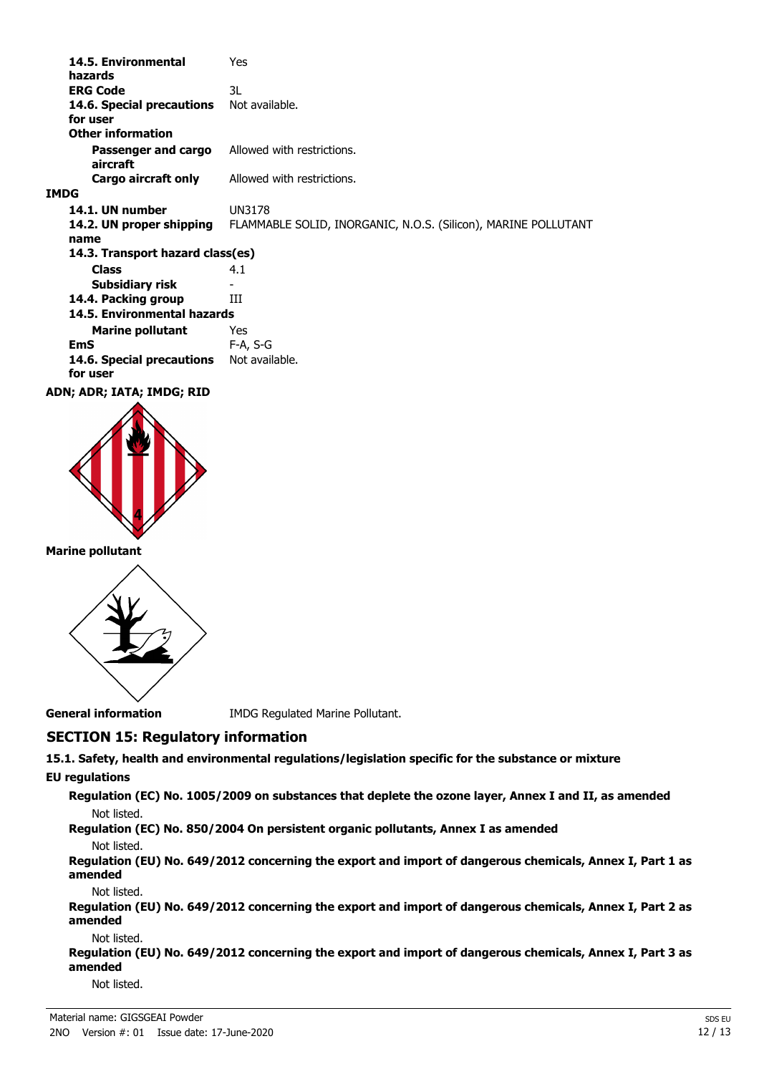| 14.5. Environmental<br>hazards        | Yes                                                            |
|---------------------------------------|----------------------------------------------------------------|
| <b>ERG Code</b>                       | 3L                                                             |
| 14.6. Special precautions<br>for user | Not available.                                                 |
| <b>Other information</b>              |                                                                |
| Passenger and cargo<br>aircraft       | Allowed with restrictions.                                     |
| Cargo aircraft only                   | Allowed with restrictions.                                     |
| <b>IMDG</b>                           |                                                                |
| 14.1. UN number                       | UN3178                                                         |
| 14.2. UN proper shipping              | FLAMMABLE SOLID, INORGANIC, N.O.S. (Silicon), MARINE POLLUTANT |
| name                                  |                                                                |
| 14.3. Transport hazard class(es)      |                                                                |
| <b>Class</b>                          | 4.1                                                            |
| Subsidiary risk                       |                                                                |
| 14.4. Packing group                   | ш                                                              |
| 14.5. Environmental hazards           |                                                                |
| <b>Marine pollutant</b>               | Yes                                                            |
| <b>EmS</b>                            | $F-A, S-G$                                                     |
| 14.6. Special precautions<br>for user | Not available.                                                 |
| ADN; ADR; IATA; IMDG; RID             |                                                                |



**Marine pollutant**



**General information** IMDG Regulated Marine Pollutant.

## **SECTION 15: Regulatory information**

**15.1. Safety, health and environmental regulations/legislation specific for the substance or mixture**

## **EU regulations**

**Regulation (EC) No. 1005/2009 on substances that deplete the ozone layer, Annex I and II, as amended** Not listed.

**Regulation (EC) No. 850/2004 On persistent organic pollutants, Annex I as amended**

#### Not listed.

**Regulation (EU) No. 649/2012 concerning the export and import of dangerous chemicals, Annex I, Part 1 as amended**

#### Not listed.

**Regulation (EU) No. 649/2012 concerning the export and import of dangerous chemicals, Annex I, Part 2 as amended**

#### Not listed.

**Regulation (EU) No. 649/2012 concerning the export and import of dangerous chemicals, Annex I, Part 3 as amended**

Not listed.